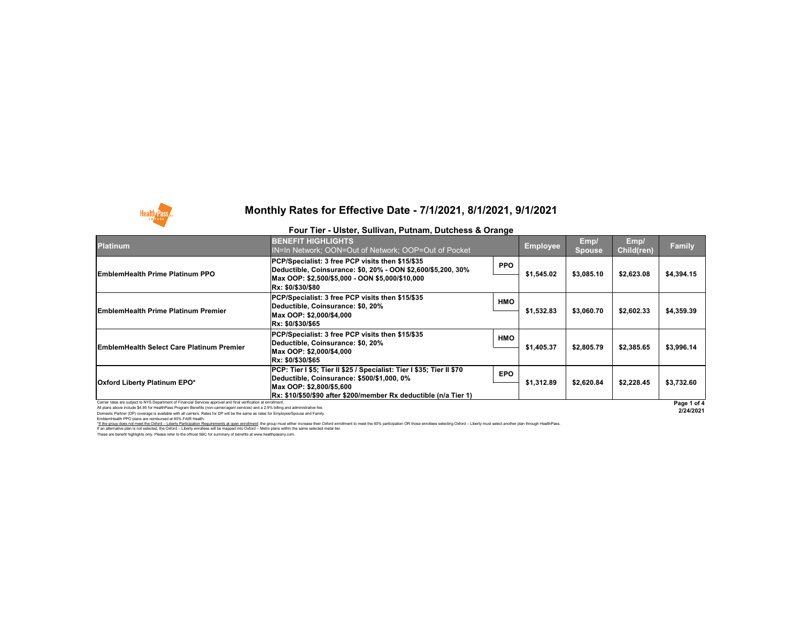Carrier rates are subject to NYS Department of Financial Services approval and final verification at enrollment. All plans above include \$4.95 for HealthPass Program Benefits (non-carrier/agent services) and a 2.9% billing and administrative fee.

These are benefit highlights only. Please refer to the official SBC for summary of benefits at www.healthpassny.com. \*If the group does not meet the Oxford - Liberty Participation Requirements at open enrollment: the group must either increase their Oxford enrollment to meet the 60% participation OR those enrollees selecting Oxford - Lib If an alternative plan is not selected, the Oxford – Liberty enrollees will be mapped into Oxford – Metro plans within the same selected metal tier.

Domestic Partner (DP) coverage is available with all carriers. Rates for DP will be the same as rates for Employee/Spouse and Family. EmblemHealth PPO plans are reimbursed at 80% FAIR Health.

| <b>Platinum</b>                                                                                                                                        | <b>BENEFIT HIGHLIGHTS</b><br>IN=In Network; OON=Out of Network; OOP=Out of Pocket                                                                                                                                    |            | <b>Employee</b> | Emp/<br><b>Spouse</b> | Emp/<br>Child(ren) | <b>Family</b>         |
|--------------------------------------------------------------------------------------------------------------------------------------------------------|----------------------------------------------------------------------------------------------------------------------------------------------------------------------------------------------------------------------|------------|-----------------|-----------------------|--------------------|-----------------------|
| <b>EmblemHealth Prime Platinum PPO</b>                                                                                                                 | PCP/Specialist: 3 free PCP visits then \$15/\$35<br>Deductible, Coinsurance: \$0, 20% - OON \$2,600/\$5,200, 30%<br>Max OOP: \$2,500/\$5,000 - OON \$5,000/\$10,000<br>Rx: \$0/\$30/\$80                             | <b>PPO</b> | \$1,545.02      | \$3,085.10            | \$2,623.08         | \$4,394.15            |
| <b>EmblemHealth Prime Platinum Premier</b>                                                                                                             | PCP/Specialist: 3 free PCP visits then \$15/\$35<br>Deductible, Coinsurance: \$0, 20%<br>Max OOP: \$2,000/\$4,000<br>Rx: \$0/\$30/\$65                                                                               | <b>HMO</b> | \$1,532.83      | \$3,060.70            | \$2,602.33         | \$4,359.39            |
| <b>EmblemHealth Select Care Platinum Premier</b>                                                                                                       | PCP/Specialist: 3 free PCP visits then \$15/\$35<br>Deductible, Coinsurance: \$0, 20%<br>Max OOP: \$2,000/\$4,000<br>Rx: \$0/\$30/\$65                                                                               | <b>HMO</b> | \$1,405.37      | \$2,805.79            | \$2,385.65         | \$3,996.14            |
| <b>Oxford Liberty Platinum EPO*</b><br>Carrier rates are subject to NYS Department of Financial Services approval and final verification at enrollment | PCP: Tier I \$5; Tier II \$25 / Specialist: Tier I \$35; Tier II \$70<br>Deductible, Coinsurance: \$500/\$1,000, 0%<br>Max OOP: \$2,800/\$5,600<br> Rx: \$10/\$50/\$90 after \$200/member Rx deductible (n/a Tier 1) | <b>EPO</b> | \$1,312.89      | \$2,620.84            | \$2,228.45         | \$3,732.60<br>$Dao A$ |

**2/24/2021**





# **Monthly Rates for Effective Date - 7/1/2021, 8/1/2021, 9/1/2021**

## **Four Tier - Ulster, Sullivan, Putnam, Dutchess & Orange**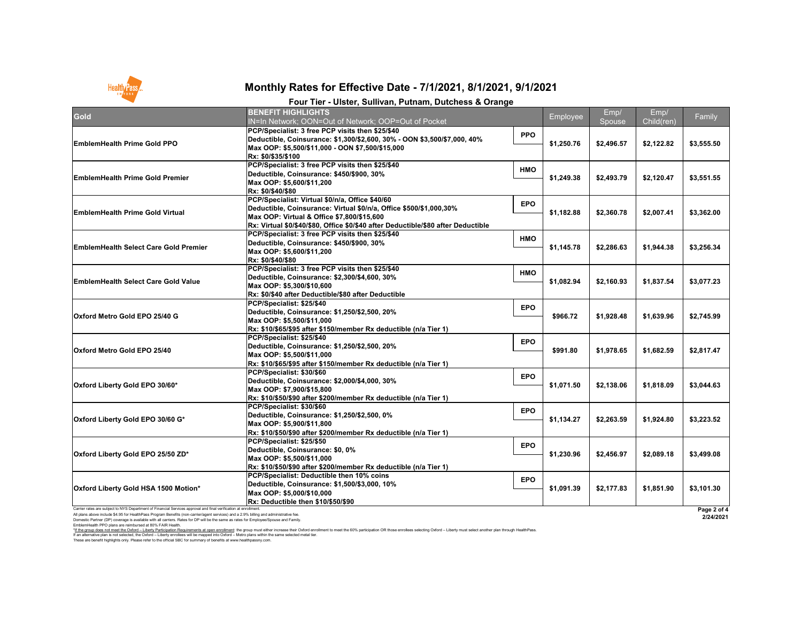All plans above include \$4.95 for HealthPass Program Benefits (non-carrier/agent services) and a 2.9% billing and administrative fee. Domestic Partner (DP) coverage is available with all carriers. Rates for DP will be the same as rates for Employee/Spouse and Family. EmblemHealth PPO plans are reimbursed at 80% FAIR Health.

I hese are benefit highlights only. Please refer to the official SBC for summary of benefits at www.healthpassny.com. \*If the group does not meet the Oxford - Liberty Participation Requirements at open enrollment: the group must either increase their Oxford enrollment to meet the 60% participation OR those enrollees selecting Oxford - Lib If an alternative plan is not selected, the Oxford – Liberty enrollees will be mapped into Oxford – Metro plans within the same selected metal tier.

## **Fourd - Steart Controlster, Sullivan, Putnam, Dutchess & Orange**

| Gold                                                                                                                                                                                                                                                       | <b>BENEFIT HIGHLIGHTS</b>                                                                         |            | Employee   | Emp/       | Emp/       | Family                   |
|------------------------------------------------------------------------------------------------------------------------------------------------------------------------------------------------------------------------------------------------------------|---------------------------------------------------------------------------------------------------|------------|------------|------------|------------|--------------------------|
|                                                                                                                                                                                                                                                            | <b>IN=In Network; OON=Out of Network; OOP=Out of Pocket</b>                                       |            |            | Spouse     | Child(ren) |                          |
| <b>EmblemHealth Prime Gold PPO</b>                                                                                                                                                                                                                         | PCP/Specialist: 3 free PCP visits then \$25/\$40                                                  | <b>PPO</b> | \$1,250.76 | \$2,496.57 |            | \$3,555.50               |
|                                                                                                                                                                                                                                                            | Deductible, Coinsurance: \$1,300/\$2,600, 30% - OON \$3,500/\$7,000, 40%                          |            |            |            | \$2,122.82 |                          |
|                                                                                                                                                                                                                                                            | Max OOP: \$5,500/\$11,000 - OON \$7,500/\$15,000                                                  |            |            |            |            |                          |
|                                                                                                                                                                                                                                                            | Rx: \$0/\$35/\$100                                                                                |            |            |            |            |                          |
|                                                                                                                                                                                                                                                            | PCP/Specialist: 3 free PCP visits then \$25/\$40                                                  | <b>HMO</b> |            | \$2,493.79 |            | \$3,551.55               |
| <b>EmblemHealth Prime Gold Premier</b>                                                                                                                                                                                                                     | Deductible, Coinsurance: \$450/\$900, 30%                                                         |            | \$1,249.38 |            | \$2,120.47 |                          |
|                                                                                                                                                                                                                                                            | Max OOP: \$5,600/\$11,200                                                                         |            |            |            |            |                          |
|                                                                                                                                                                                                                                                            | Rx: \$0/\$40/\$80                                                                                 |            |            |            |            |                          |
|                                                                                                                                                                                                                                                            | PCP/Specialist: Virtual \$0/n/a, Office \$40/60                                                   | <b>EPO</b> |            | \$2,360.78 |            | \$3,362.00               |
| <b>EmblemHealth Prime Gold Virtual</b>                                                                                                                                                                                                                     | Deductible, Coinsurance: Virtual \$0/n/a, Office \$500/\$1,000,30%                                |            | \$1,182.88 |            | \$2,007.41 |                          |
|                                                                                                                                                                                                                                                            | Max OOP: Virtual & Office \$7,800/\$15,600                                                        |            |            |            |            |                          |
|                                                                                                                                                                                                                                                            | Rx: Virtual \$0/\$40/\$80, Office \$0/\$40 after Deductible/\$80 after Deductible                 |            |            |            |            |                          |
|                                                                                                                                                                                                                                                            | PCP/Specialist: 3 free PCP visits then \$25/\$40                                                  | <b>HMO</b> |            |            |            |                          |
| <b>EmblemHealth Select Care Gold Premier</b>                                                                                                                                                                                                               | Deductible, Coinsurance: \$450/\$900, 30%                                                         |            | \$1,145.78 | \$2,286.63 | \$1,944.38 | \$3,256.34               |
|                                                                                                                                                                                                                                                            | Max OOP: \$5,600/\$11,200                                                                         |            |            |            |            |                          |
|                                                                                                                                                                                                                                                            | Rx: \$0/\$40/\$80                                                                                 |            |            |            |            |                          |
| <b>EmblemHealth Select Care Gold Value</b>                                                                                                                                                                                                                 | PCP/Specialist: 3 free PCP visits then \$25/\$40                                                  | <b>HMO</b> |            | \$2,160.93 | \$1,837.54 | \$3,077.23               |
|                                                                                                                                                                                                                                                            | Deductible, Coinsurance: \$2,300/\$4,600, 30%                                                     |            | \$1,082.94 |            |            |                          |
|                                                                                                                                                                                                                                                            | Max OOP: \$5,300/\$10,600                                                                         |            |            |            |            |                          |
|                                                                                                                                                                                                                                                            | Rx: \$0/\$40 after Deductible/\$80 after Deductible                                               |            |            |            |            |                          |
| <b>Oxford Metro Gold EPO 25/40 G</b>                                                                                                                                                                                                                       | PCP/Specialist: \$25/\$40                                                                         | <b>EPO</b> | \$966.72   | \$1,928.48 | \$1,639.96 | \$2,745.99               |
|                                                                                                                                                                                                                                                            | Deductible, Coinsurance: \$1,250/\$2,500, 20%                                                     |            |            |            |            |                          |
|                                                                                                                                                                                                                                                            | Max OOP: \$5,500/\$11,000                                                                         |            |            |            |            |                          |
|                                                                                                                                                                                                                                                            | Rx: \$10/\$65/\$95                                  after \$150/member Rx deductible (n/a Tier 1) |            |            |            |            |                          |
|                                                                                                                                                                                                                                                            | PCP/Specialist: \$25/\$40                                                                         | <b>EPO</b> | \$991.80   | \$1,978.65 | \$1,682.59 | \$2,817.47               |
| <b>Oxford Metro Gold EPO 25/40</b>                                                                                                                                                                                                                         | Deductible, Coinsurance: \$1,250/\$2,500, 20%                                                     |            |            |            |            |                          |
|                                                                                                                                                                                                                                                            | Max OOP: \$5,500/\$11,000                                                                         |            |            |            |            |                          |
|                                                                                                                                                                                                                                                            | Rx: \$10/\$65/\$95                                  after \$150/member Rx deductible (n/a Tier 1) |            |            |            |            |                          |
|                                                                                                                                                                                                                                                            | PCP/Specialist: \$30/\$60                                                                         | <b>EPO</b> |            |            | \$1,818.09 | \$3,044.63               |
| <b>Oxford Liberty Gold EPO 30/60*</b>                                                                                                                                                                                                                      | Deductible, Coinsurance: \$2,000/\$4,000, 30%                                                     |            | \$1,071.50 | \$2,138.06 |            |                          |
|                                                                                                                                                                                                                                                            | Max OOP: \$7,900/\$15,800                                                                         |            |            |            |            |                          |
|                                                                                                                                                                                                                                                            | Rx: \$10/\$50/\$90 after \$200/member Rx deductible (n/a Tier 1)                                  |            |            |            |            |                          |
|                                                                                                                                                                                                                                                            | PCP/Specialist: \$30/\$60                                                                         | <b>EPO</b> |            | \$2,263.59 | \$1,924.80 | \$3,223.52               |
| Oxford Liberty Gold EPO 30/60 G*                                                                                                                                                                                                                           | Deductible, Coinsurance: \$1,250/\$2,500, 0%                                                      |            | \$1,134.27 |            |            |                          |
|                                                                                                                                                                                                                                                            | Max OOP: \$5,900/\$11,800                                                                         |            |            |            |            |                          |
|                                                                                                                                                                                                                                                            | Rx: \$10/\$50/\$90 after \$200/member Rx deductible (n/a Tier 1)                                  |            |            |            |            |                          |
|                                                                                                                                                                                                                                                            | PCP/Specialist: \$25/\$50                                                                         | <b>EPO</b> | \$1,230.96 | \$2,456.97 | \$2,089.18 | \$3,499.08               |
| <b>Oxford Liberty Gold EPO 25/50 ZD*</b>                                                                                                                                                                                                                   | Deductible, Coinsurance: \$0, 0%                                                                  |            |            |            |            |                          |
|                                                                                                                                                                                                                                                            | Max OOP: \$5,500/\$11,000                                                                         |            |            |            |            |                          |
|                                                                                                                                                                                                                                                            | Rx: \$10/\$50/\$90 after \$200/member Rx deductible (n/a Tier 1)                                  |            |            |            |            |                          |
|                                                                                                                                                                                                                                                            | <b>PCP/Specialist: Deductible then 10% coins</b>                                                  | <b>EPO</b> |            |            | \$1,851.90 |                          |
| <b>Oxford Liberty Gold HSA 1500 Motion*</b>                                                                                                                                                                                                                | Deductible, Coinsurance: \$1,500/\$3,000, 10%                                                     |            | \$1,091.39 | \$2,177.83 |            | \$3,101.30               |
|                                                                                                                                                                                                                                                            | Max OOP: \$5,000/\$10,000                                                                         |            |            |            |            |                          |
|                                                                                                                                                                                                                                                            | Rx: Deductible then \$10/\$50/\$90                                                                |            |            |            |            |                          |
| Carrier rates are subject to NYS Department of Financial Services approval and final verification at enrollment.<br>All plans above include \$4.95 for HealthPass Program Benefits (non-carrier/agent services) and a 2.9% billing and administrative fee. |                                                                                                   |            |            |            |            | Page 2 of 4<br>2/24/2021 |



# **Monthly Rates for Effective Date - 7/1/2021, 8/1/2021, 9/1/2021**

| <b>Four Tier - Uls</b> |  |  |
|------------------------|--|--|
|                        |  |  |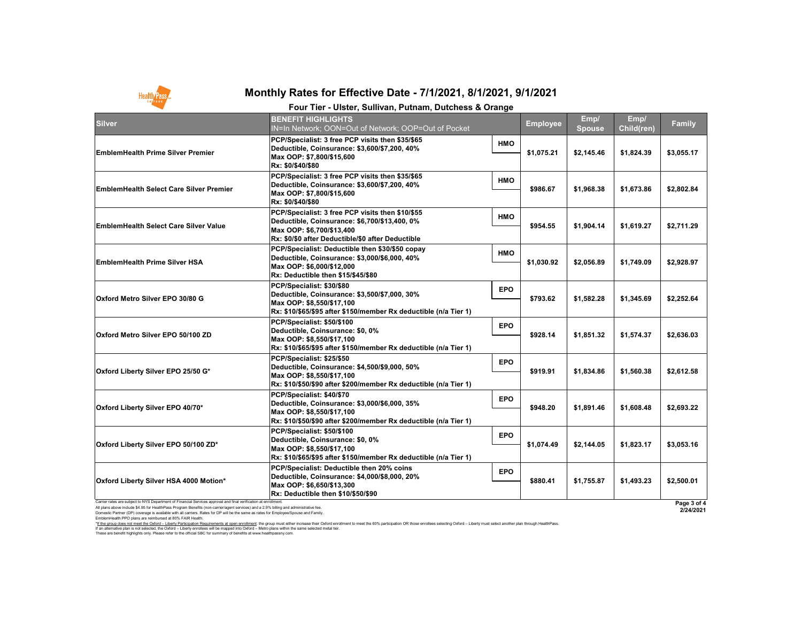Carrier rates are subject to NYS Department of Financial Services approval and final verification at enrollment.

All plans above include \$4.95 for HealthPass Program Benefits (non-carrier/agent services) and a 2.9% billing and administrative fee.

Domestic Partner (DP) coverage is available with all carriers. Rates for DP will be the same as rates for Employee/Spouse and Family. EmblemHealth PPO plans are reimbursed at 80% FAIR Health.

I hese are benefit highlights only. Please refer to the official SBC for summary of benefits at www.healthpassny.com. \*<u>If the group does not meet the Oxford – Liberty Participation Requirements at open enrollment</u>: the group must either increase their Oxford enrollment to meet the 60% participation OR those enrollees selecting Oxford – L If an alternative plan is not selected, the Oxford – Liberty enrollees will be mapped into Oxford – Metro plans within the same selected metal tier.

**Page 3 of 4**



**2/24/2021**

# **Monthly Rates for Effective Date - 7/1/2021, 8/1/2021, 9/1/2021**



## **Four Tier - Ulster, Sullivan, Putnam, Dutchess & Orange**

|                                                | Four Tier - Uister, Sullivan, Putham, Dutchess & Orange                                                                                                                             |            |                 |                       |                           |               |
|------------------------------------------------|-------------------------------------------------------------------------------------------------------------------------------------------------------------------------------------|------------|-----------------|-----------------------|---------------------------|---------------|
| Silver                                         | <b>BENEFIT HIGHLIGHTS</b><br>IN=In Network; OON=Out of Network; OOP=Out of Pocket                                                                                                   |            | <b>Employee</b> | Emp/<br><b>Spouse</b> | Emp/<br><b>Child(ren)</b> | <b>Family</b> |
| <b>EmblemHealth Prime Silver Premier</b>       | PCP/Specialist: 3 free PCP visits then \$35/\$65<br>Deductible, Coinsurance: \$3,600/\$7,200, 40%<br>Max OOP: \$7,800/\$15,600<br>Rx: \$0/\$40/\$80                                 | <b>HMO</b> | \$1,075.21      | \$2,145.46            | \$1,824.39                | \$3,055.17    |
| <b>EmblemHealth Select Care Silver Premier</b> | PCP/Specialist: 3 free PCP visits then \$35/\$65<br>Deductible, Coinsurance: \$3,600/\$7,200, 40%<br>Max OOP: \$7,800/\$15,600<br>Rx: \$0/\$40/\$80                                 | <b>HMO</b> | \$986.67        | \$1,968.38            | \$1,673.86                | \$2,802.84    |
| <b>EmblemHealth Select Care Silver Value</b>   | PCP/Specialist: 3 free PCP visits then \$10/\$55<br>Deductible, Coinsurance: \$6,700/\$13,400, 0%<br>Max OOP: \$6,700/\$13,400<br>Rx: \$0/\$0 after Deductible/\$0 after Deductible | <b>HMO</b> | \$954.55        | \$1,904.14            | \$1,619.27                | \$2,711.29    |
| <b>EmblemHealth Prime Silver HSA</b>           | PCP/Specialist: Deductible then \$30/\$50 copay<br>Deductible, Coinsurance: \$3,000/\$6,000, 40%<br>Max OOP: \$6,000/\$12,000<br><b>Rx: Deductible then \$15/\$45/\$80</b>          | <b>HMO</b> | \$1,030.92      | \$2,056.89            | \$1,749.09                | \$2,928.97    |
| <b>Oxford Metro Silver EPO 30/80 G</b>         | PCP/Specialist: \$30/\$80<br>Deductible, Coinsurance: \$3,500/\$7,000, 30%<br>Max OOP: \$8,550/\$17,100<br>Rx: \$10/\$65/\$95 after \$150/member Rx deductible (n/a Tier 1)         | <b>EPO</b> | \$793.62        | \$1,582.28            | \$1,345.69                | \$2,252.64    |
| <b>Oxford Metro Silver EPO 50/100 ZD</b>       | PCP/Specialist: \$50/\$100<br>Deductible, Coinsurance: \$0, 0%<br>Max OOP: \$8,550/\$17,100<br>Rx: \$10/\$65/\$95 after \$150/member Rx deductible (n/a Tier 1)                     | <b>EPO</b> | \$928.14        | \$1,851.32            | \$1,574.37                | \$2,636.03    |
| <b>Oxford Liberty Silver EPO 25/50 G*</b>      | PCP/Specialist: \$25/\$50<br>Deductible, Coinsurance: \$4,500/\$9,000, 50%<br>Max OOP: \$8,550/\$17,100<br>Rx: \$10/\$50/\$90 after \$200/member Rx deductible (n/a Tier 1)         | <b>EPO</b> | \$919.91        | \$1,834.86            | \$1,560.38                | \$2,612.58    |
| <b>Oxford Liberty Silver EPO 40/70*</b>        | PCP/Specialist: \$40/\$70<br>Deductible, Coinsurance: \$3,000/\$6,000, 35%<br>Max OOP: \$8,550/\$17,100<br>Rx: \$10/\$50/\$90 after \$200/member Rx deductible (n/a Tier 1)         | <b>EPO</b> | \$948.20        | \$1,891.46            | \$1,608.48                | \$2,693.22    |
| <b>Oxford Liberty Silver EPO 50/100 ZD*</b>    | PCP/Specialist: \$50/\$100<br>Deductible, Coinsurance: \$0, 0%<br>Max OOP: \$8,550/\$17,100<br>Rx: \$10/\$65/\$95 after \$150/member Rx deductible (n/a Tier 1)                     | <b>EPO</b> | \$1,074.49      | \$2,144.05            | \$1,823.17                | \$3,053.16    |
| <b>Oxford Liberty Silver HSA 4000 Motion*</b>  | <b>PCP/Specialist: Deductible then 20% coins</b><br>Deductible, Coinsurance: \$4,000/\$8,000, 20%<br>Max OOP: \$6,650/\$13,300<br>Rx: Deductible then \$10/\$50/\$90                | <b>EPO</b> | \$880.41        | \$1,755.87            | \$1,493.23                | \$2,500.01    |